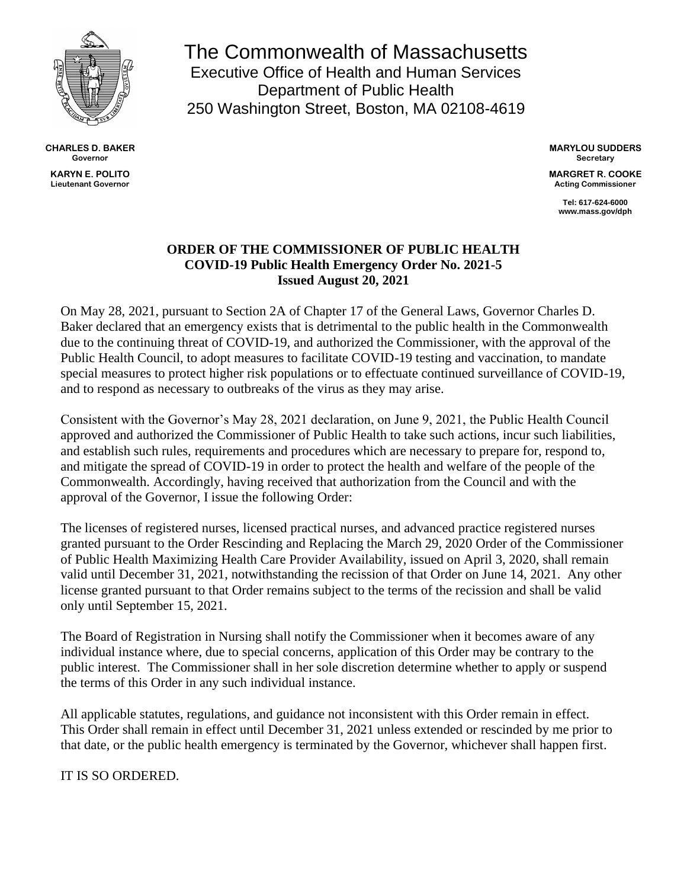

**CHARLES D. BAKER Governor KARYN E. POLITO Lieutenant Governor**

The Commonwealth of Massachusetts Executive Office of Health and Human Services Department of Public Health 250 Washington Street, Boston, MA 02108-4619

> **MARYLOU SUDDERS Secretary**

**MARGRET R. COOKE Acting Commissioner**

> **Tel: 617-624-6000 www.mass.gov/dph**

## **ORDER OF THE COMMISSIONER OF PUBLIC HEALTH COVID-19 Public Health Emergency Order No. 2021-5 Issued August 20, 2021**

On May 28, 2021, pursuant to Section 2A of Chapter 17 of the General Laws, Governor Charles D. Baker declared that an emergency exists that is detrimental to the public health in the Commonwealth due to the continuing threat of COVID-19, and authorized the Commissioner, with the approval of the Public Health Council, to adopt measures to facilitate COVID-19 testing and vaccination, to mandate special measures to protect higher risk populations or to effectuate continued surveillance of COVID-19, and to respond as necessary to outbreaks of the virus as they may arise.

Consistent with the Governor's May 28, 2021 declaration, on June 9, 2021, the Public Health Council approved and authorized the Commissioner of Public Health to take such actions, incur such liabilities, and establish such rules, requirements and procedures which are necessary to prepare for, respond to, and mitigate the spread of COVID-19 in order to protect the health and welfare of the people of the Commonwealth. Accordingly, having received that authorization from the Council and with the approval of the Governor, I issue the following Order:

The licenses of registered nurses, licensed practical nurses, and advanced practice registered nurses granted pursuant to the Order Rescinding and Replacing the March 29, 2020 Order of the Commissioner of Public Health Maximizing Health Care Provider Availability, issued on April 3, 2020, shall remain valid until December 31, 2021, notwithstanding the recission of that Order on June 14, 2021. Any other license granted pursuant to that Order remains subject to the terms of the recission and shall be valid only until September 15, 2021.

The Board of Registration in Nursing shall notify the Commissioner when it becomes aware of any individual instance where, due to special concerns, application of this Order may be contrary to the public interest. The Commissioner shall in her sole discretion determine whether to apply or suspend the terms of this Order in any such individual instance.

All applicable statutes, regulations, and guidance not inconsistent with this Order remain in effect. This Order shall remain in effect until December 31, 2021 unless extended or rescinded by me prior to that date, or the public health emergency is terminated by the Governor, whichever shall happen first.

IT IS SO ORDERED.